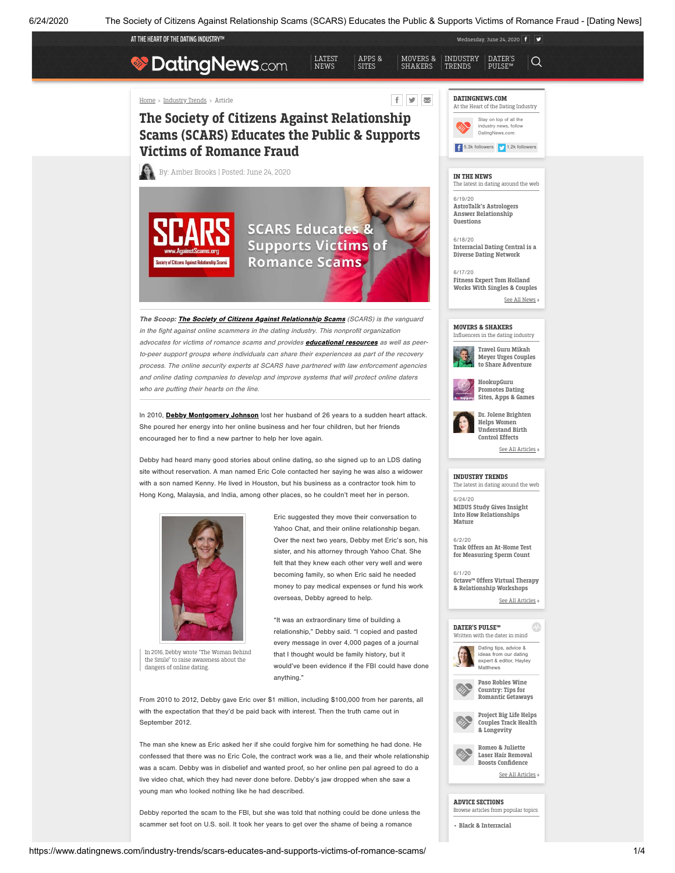APPS & [SITES](https://www.datingnews.com/apps-and-sites/)

[LATEST](https://www.datingnews.com/) NEWS

AT THE HEART OF THE DATING INDUSTRY™

[Home](https://www.datingnews.com/) > [Industry](https://www.datingnews.com/industry-trends/) Trends > Article

# **DatingNews.com**

## $f \times \mathbb{R}$

MOVERS & [SHAKERS](https://www.datingnews.com/movers-and-shakers/)

## The Society of Citizens Against Relationship Scams (SCARS) Educates the Public & Supports Victims of Romance Fraud





The Scoop: **The Society of Citizens Against [Relationship](https://www.datingnews.com/external/?site=45fe109f138bef800cb016dec4f0af4e3c7c607bb2cf16829af4e3956e7ae4a4) Scams** (SCARS) is the vanguard in the fight against online scammers in the dating industry. This nonprofit organization advocates for victims of romance scams and provides **[educational](https://www.datingnews.com/external/?site=45fe109f138bef80e9ce0641fc79999d7ae4a9a64d23696197a609d36ba2bcb0) resources** as well as peerto-peer support groups where individuals can share their experiences as part of the recovery process. The online security experts at SCARS have partnered with law enforcement agencies and online dating companies to develop and improve systems that will protect online daters who are putting their hearts on the line.

In 2010, Debby [Montgomery](https://www.datingnews.com/external/?site=45fe109f138bef80d00f283ba04cbb06470171bb61a6db0f6e040d5648a4a5c95b20dfe1c571bd349af4e3956e7ae4a4) Johnson lost her husband of 26 years to a sudden heart attack. She poured her energy into her online business and her four children, but her friends encouraged her to find a new partner to help her love again.

Debby had heard many good stories about online dating, so she signed up to an LDS dating site without reservation. A man named Eric Cole contacted her saying he was also a widower with a son named Kenny. He lived in Houston, but his business as a contractor took him to Hong Kong, Malaysia, and India, among other places, so he couldn't meet her in person.



In 2016, Debby wrote "The Woman Behind the Smile" to raise awareness about the dangers of online dating.

Eric suggested they move their conversation to Yahoo Chat, and their online relationship began. Over the next two years, Debby met Eric's son, his sister, and his attorney through Yahoo Chat. She felt that they knew each other very well and were becoming family, so when Eric said he needed money to pay medical expenses or fund his work overseas, Debby agreed to help.

"It was an extraordinary time of building a relationship," Debby said. "I copied and pasted every message in over 4,000 pages of a journal that I thought would be family history, but it would've been evidence if the FBI could have done anything."

From 2010 to 2012, Debby gave Eric over \$1 million, including \$100,000 from her parents, all with the expectation that they'd be paid back with interest. Then the truth came out in September 2012.

The man she knew as Eric asked her if she could forgive him for something he had done. He confessed that there was no Eric Cole, the contract work was a lie, and their whole relationship was a scam. Debby was in disbelief and wanted proof, so her online pen pal agreed to do a live video chat, which they had never done before. Debby's jaw dropped when she saw a young man who looked nothing like he had described.

Debby reported the scam to the FBI, but she was told that nothing could be done unless the scammer set foot on U.S. soil. It took her years to get over the shame of being a romance



Wednesday, June 24, 2020  $\boxed{f}$ 

[DATER'S](https://www.datingnews.com/daters-pulse/) PULSE™

 $\alpha$ 

[INDUSTRY](https://www.datingnews.com/industry-trends/) TRENDS

#### IN THE NEWS

The latest in dating around the web

6/19/20 AstroTalk's Astrologers Answer [Relationship](https://www.datingnews.com/apps-and-sites/astrotalk-astrologers-answer-relationship-questions/) Questions

6/18/20 [Interracial](https://www.datingnews.com/apps-and-sites/interracial-dating-central-is-a-diverse-dating-network/) Dating Central is a Diverse Dating Network

6/17/20 Fitness Expert Tom [Holland](https://www.datingnews.com/apps-and-sites/tom-holland-a-fitness-expert-who-works-with-couples/) Works With Singles & Couples



#### MOVERS & SHAKERS Influencers in the dating industry





Promotes Dating Sites, Apps & Games



Helps Women [Understand](https://www.datingnews.com/movers-and-shakers/dr-jolene-brighten-helps-women-understand-birth-control-effects/) Birth Control Effects

See All [Articles](https://www.datingnews.com/movers-and-shakers/) »

#### INDUSTRY TRENDS The latest in dating around the web

6/24/20 MIDUS Study Gives Insight Into How [Relationships](https://www.datingnews.com/industry-trends/midus-study-gives-insights-into-how-relationships-mature/)

Mature 6/2/20

Trak Offers an At-Home Test for [Measuring](https://www.datingnews.com/industry-trends/trak-fertility-at-home-tests-to-measure-sperm-count/) Sperm Count

6/1/20 Octave™ Offers Virtual Therapy & [Relationship](https://www.datingnews.com/industry-trends/octave-offers-virtual-therapy-and-relationship-workshops/) Workshops

See All [Articles](https://www.datingnews.com/industry-trends/) »





Paso Robles Wine Country: Tips for [Romantic](https://www.datingnews.com/daters-pulse/paso-robles-wine-country-provides-tips-for-romantic-getaways/) Getaways



Romeo & Juliette Laser Hair Removal Boosts [Confidence](https://www.datingnews.com/daters-pulse/romeo-juliette-laser-hair-removal-makes-singles-more-attractive/)

See All [Articles](https://www.datingnews.com/daters-pulse/) »

#### ADVICE SECTIONS

Browse articles from popular topics

• Black & [Interracial](https://www.datingnews.com/topic/black-interracial-dating/)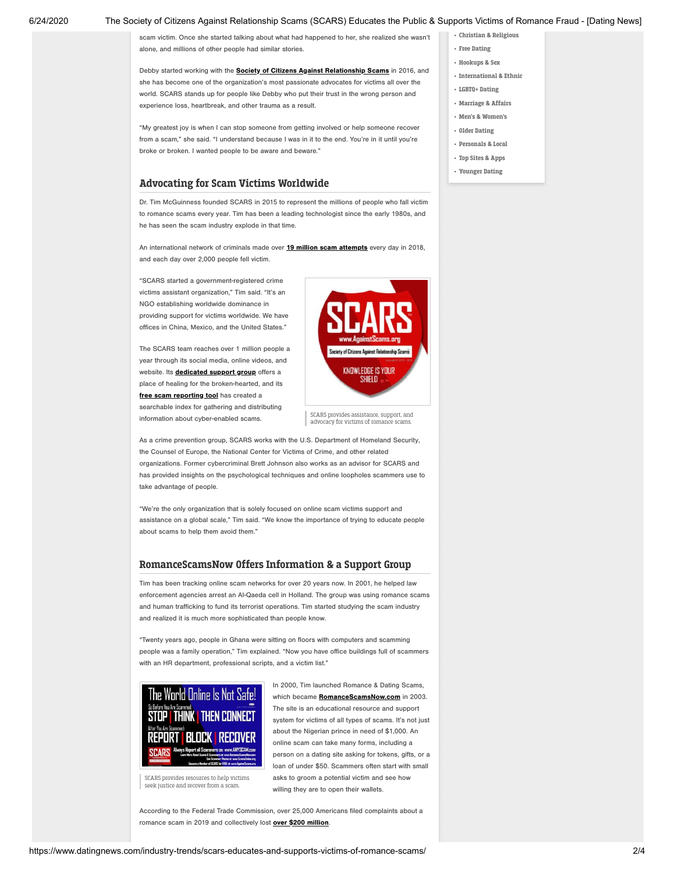#### 6/24/2020 The Society of Citizens Against Relationship Scams (SCARS) Educates the Public & Supports Victims of Romance Fraud - [Dating News]

scam victim. Once she started talking about what had happened to her, she realized she wasn't alone, and millions of other people had similar stories.

Debby started working with the **Society of Citizens Against [Relationship](https://www.datingnews.com/external/?site=45fe109f138bef800cb016dec4f0af4e3c7c607bb2cf16829af4e3956e7ae4a4) Scams** in 2016, and she has become one of the organization's most passionate advocates for victims all over the world. SCARS stands up for people like Debby who put their trust in the wrong person and experience loss, heartbreak, and other trauma as a result.

"My greatest joy is when Ican stop someone from getting involved or help someone recover from a scam," she said. "I understand because Iwas in it to the end. You're in it until you're broke or broken. I wanted people to be aware and beware."

### Advocating for Scam Victims Worldwide

Dr. Tim McGuinness founded SCARS in 2015 to represent the millions of people who fall victim to romance scams every year. Tim has been a leading technologist since the early 1980s, and he has seen the scam industry explode in that time.

An international network of criminals made over 19 million scam [attempts](https://www.datingnews.com/external/?site=45fe109f138bef800cb016dec4f0af4e3c7c607bb2cf168202750510fcc7dd8e2f43c6734f2a9fc1) every day in 2018, and each day over 2,000 people fell victim.

"SCARS started a government-registered crime victims assistant organization," Tim said. "It's an NGO establishing worldwide dominance in providing support for victims worldwide. We have offices in China, Mexico, and the United States."

The SCARS team reaches over 1 million people a year through its social media, online videos, and website. Its [dedicated](https://www.datingnews.com/external/?site=45fe109f138bef80e0622f0f579ce1e8ea6cfa2ee4c17149cbe7565a03eb717304bac9d611add47d) support group offers a place of healing for the broken-hearted, and its free scam [reporting](https://www.datingnews.com/external/?site=45fe109f138bef80b1f80568160b5b7897a609d36ba2bcb0) tool has created a searchable index for gathering and distributing information about cyber-enabled scams.



SCARS provides assistance, support, and advocacy for victims of romance scams.

As a crime prevention group, SCARS works with the U.S. Department of Homeland Security, the Counsel of Europe, the National Center for Victims of Crime, and other related organizations. Former cybercriminal Brett Johnson also works as an advisor for SCARS and has provided insights on the psychological techniques and online loopholes scammers use to take advantage of people.

"We're the only organization that is solely focused on online scam victims support and assistance on a global scale," Tim said. "We know the importance of trying to educate people about scams to help them avoid them."

### RomanceScamsNow Offers Information & a Support Group

Tim has been tracking online scam networks for over 20 years now. In 2001, he helped law enforcement agencies arrest an Al-Qaeda cell in Holland. The group was using romance scams and human trafficking to fund its terrorist operations. Tim started studying the scam industry and realized it is much more sophisticated than people know.

"Twenty years ago, people in Ghana were sitting on floors with computers and scamming people was a family operation," Tim explained. "Now you have office buildings full of scammers with an HR department, professional scripts, and a victim list."



In 2000, Tim launched Romance & Dating Scams, which became **[RomanceScamsNow.com](https://www.datingnews.com/external/?site=45fe109f138bef80e9ce0641fc79999d7ae4a9a64d23696197a609d36ba2bcb0)** in 2003. The site is an educational resource and support system for victims of all types of scams. It's not just about the Nigerian prince in need of \$1,000. An online scam can take many forms, including a person on a dating site asking for tokens, gifts, or a loan of under \$50. Scammers often start with small asks to groom a potential victim and see how willing they are to open their wallets.

SCARS provides resources to help victims seek justice and recover from a scam.

According to the Federal Trade Commission, over 25,000 Americans filed complaints about a romance scam in 2019 and collectively lost **over \$200 [million](https://www.datingnews.com/external/?site=45fe109f138bef80d440675ecc7333c198ba58f4571ff9c6d3d7852c1ae7ec7aa19e12e69e16d22fbbbaab379df2b8cbe196dd42a1317f9b625af949fb74bfd38ad0c3b00cad469eaaf5e77bc45e2efd42312d2e13fc0bcc507e49a20ef50944b6b851c4991b936822a5a5af6231ded217f5f4c659bf3473333dab1f304374ce0e97be59af90116f0c7fe4fa301bfc52c4f4c3ccbddec5906448fd89e6ec073b9629e2ab423527ddc0d983c4cee06c0709d0b9f2a19d50c88fe42bfd7c63f8d5a9fd1c3ff390cb033a57a6ad25bc432a3ab35bdf20762d7ab49e1056ebb9cdebbb95e77d0cae209b2cf3847e65734a1626ef7eca8a73cdb301e8a316cfe63c589dfe66fb3ce64fd0017f8038b5b41e29c114387df1f11c9de9980a0a823e8fad)**.

- [Hookups](https://www.datingnews.com/topic/hookups-sex/) & Sex
- [International](https://www.datingnews.com/topic/international-ethnic-dating/) & Ethnic

• Christian & [Religious](https://www.datingnews.com/topic/christian-religious-dating/) • Free [Dating](https://www.datingnews.com/topic/free-online-dating/)

- [LGBTQ+ Dating](https://www.datingnews.com/topic/lgbtq-dating/)
- [Marriage](https://www.datingnews.com/topic/marriage-affairs/) & Affairs
- Men's & [Women's](https://www.datingnews.com/topic/mens-womens-dating/)
- Older [Dating](https://www.datingnews.com/topic/older-dating/)
- [Personals](https://www.datingnews.com/topic/personals-local-dating/) & Local
- Top Sites & [Apps](https://www.datingnews.com/topic/top-dating-sites-apps/)
- [Younger](https://www.datingnews.com/topic/younger-dating/) Dating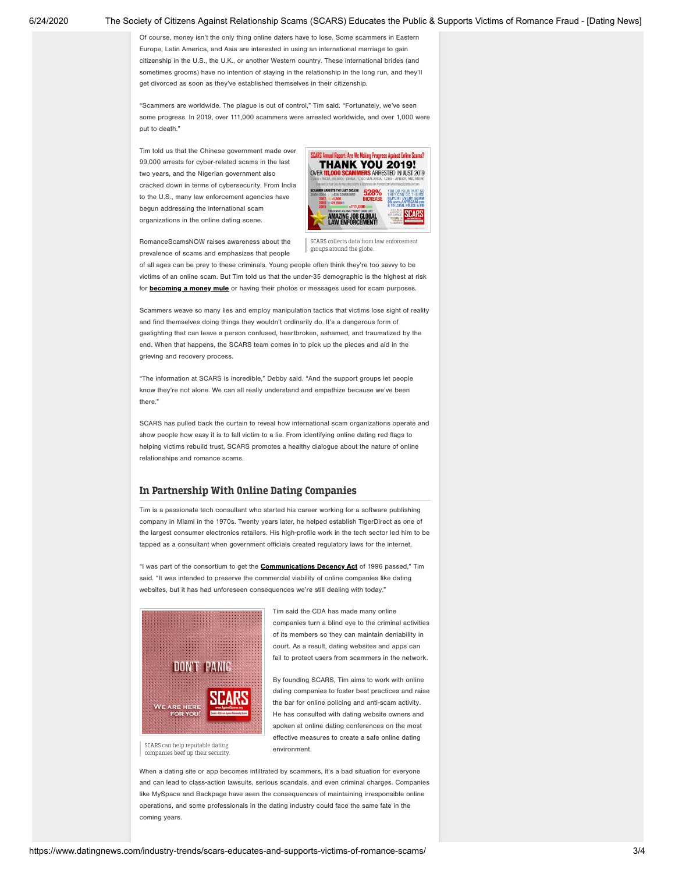#### 6/24/2020 The Society of Citizens Against Relationship Scams (SCARS) Educates the Public & Supports Victims of Romance Fraud - [Dating News]

Of course, money isn't the only thing online daters have to lose. Some scammers in Eastern Europe, Latin America, and Asia are interested in using an international marriage to gain citizenship in the U.S., the U.K., or another Western country. These international brides (and sometimes grooms) have no intention of staying in the relationship in the long run, and they'll get divorced as soon as they've established themselves in their citizenship.

"Scammers are worldwide. The plague is out of control," Tim said. "Fortunately, we've seen some progress. In 2019, over 111,000 scammers were arrested worldwide, and over 1,000 were put to death."

Tim told us that the Chinese government made over 99,000 arrests for cyber-related scams in the last two years, and the Nigerian government also cracked down in terms of cybersecurity. From India to the U.S., many law enforcement agencies have begun addressing the international scam organizations in the online dating scene.



SCARS collects data from law enforcement groups around the globe. RomanceScamsNOW raises awareness about the prevalence of scams and emphasizes that people

of all ages can be prey to these criminals. Young people often think they're too savvy to be victims of an online scam. But Tim told us that the under-35 demographic is the highest at risk for **[becoming](https://www.datingnews.com/external/?site=45fe109f138bef80e9ce0641fc79999d7ae4a9a64d23696170ab23e50e1e4c82434f1d82725290c20e43013108cf809cf6ea358cf98f50f37c9f611b1499f0a180d8878eba90f0a4228e64800225829dd551ef109f2faa20bf119cbae3daf98e1e5c3ad4174ac8df1454a56d4e16a0e3) a money mule** or having their photos or messages used for scam purposes.

Scammers weave so many lies and employ manipulation tactics that victims lose sight of reality and find themselves doing things they wouldn't ordinarily do. It's a dangerous form of gaslighting that can leave a person confused, heartbroken, ashamed, and traumatized by the end. When that happens, the SCARS team comes in to pick up the pieces and aid in the grieving and recovery process.

"The information at SCARS is incredible," Debby said. "And the support groups let people know they're not alone. We can all really understand and empathize because we've been there."

SCARS has pulled back the curtain to reveal how international scam organizations operate and show people how easy it is to fall victim to a lie. From identifying online dating red flags to helping victims rebuild trust, SCARS promotes a healthy dialogue about the nature of online relationships and romance scams.

### In Partnership With Online Dating Companies

Tim is a passionate tech consultant who started his career working for a software publishing company in Miami in the 1970s. Twenty years later, he helped establish TigerDirect as one of the largest consumer electronics retailers. His high-profile work in the tech sector led him to be tapped as a consultant when government officials created regulatory laws for the internet.

"I was part of the consortium to get the **[Communications](https://www.datingnews.com/external/?site=45fe109f138bef8016b2668eb544cc57fdd5a3ca35f84990a670e06a6bc2c7d69e0bd3604bd57d1f25eca28b2f82862e50664f592ffadb0055a8ade725d921b5) Decency Act** of 1996 passed," Tim said. "It was intended to preserve the commercial viability of online companies like dating websites, but it has had unforeseen consequences we're still dealing with today."



Tim said the CDA has made many online companies turn a blind eye to the criminal activities of its members so they can maintain deniability in court. As a result, dating websites and apps can fail to protect users from scammers in the network.

By founding SCARS, Tim aims to work with online dating companies to foster best practices and raise the bar for online policing and anti-scam activity. He has consulted with dating website owners and spoken at online dating conferences on the most effective measures to create a safe online dating environment.

SCARS can help reputable dating companies beef up their security.

When a dating site or app becomes infiltrated by scammers, it's a bad situation for everyone and can lead to class-action lawsuits, serious scandals, and even criminal charges. Companies like MySpace and Backpage have seen the consequences of maintaining irresponsible online operations, and some professionals in the dating industry could face the same fate in the coming years.